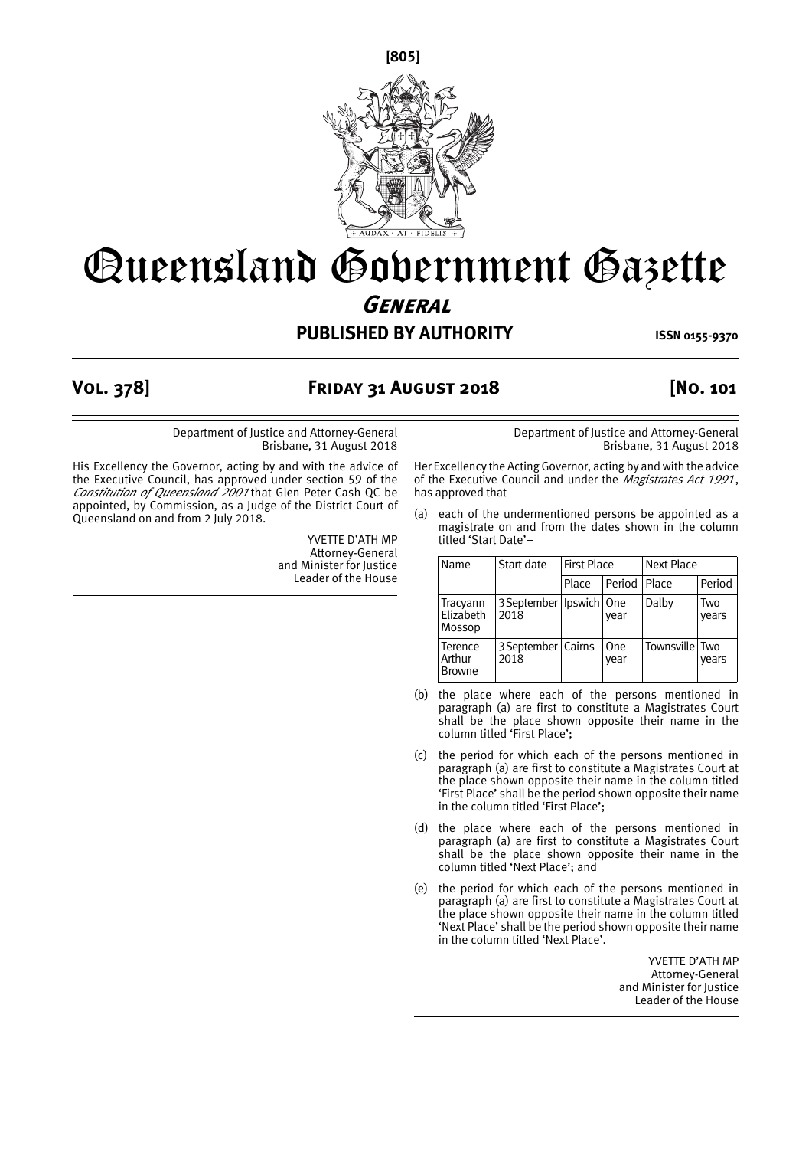**[805]**



# Queensland Government Gazette **General**

**PUBLISHED BY AUTHORITY ISSN 0155-9370** 

### **Vol. 378] Friday 31 August 2018 [No. 101**

Department of Justice and Attorney-General Brisbane, 31 August 2018

His Excellency the Governor, acting by and with the advice of the Executive Council, has approved under section 59 of the *Constitution of Queensland 2001* that Glen Peter Cash QC be appointed, by Commission, as a Judge of the District Court of Queensland on and from 2 July 2018.

> YVETTE D'ATH MP Attorney-General and Minister for Justice Leader of the House

Department of Justice and Attorney-General Brisbane, 31 August 2018

Her Excellency the Acting Governor, acting by and with the advice of the Executive Council and under the *Magistrates Act 1991*, has approved that –

(a) each of the undermentioned persons be appointed as a magistrate on and from the dates shown in the column titled 'Start Date'–

| Name                               | Start date                          |       | <b>First Place</b><br><b>Next Place</b> |                |              |
|------------------------------------|-------------------------------------|-------|-----------------------------------------|----------------|--------------|
|                                    |                                     | Place | Period Place                            |                | Period       |
| Tracyann<br>Elizabeth<br>Mossop    | 3 September   Ipswich   One<br>2018 |       | vear                                    | Dalby          | Two<br>vears |
| Terence<br>Arthur<br><b>Browne</b> | 3 September   Cairns<br>2018        |       | <b>One</b><br>vear                      | Townsville Two | vears        |

- (b) the place where each of the persons mentioned in paragraph (a) are first to constitute a Magistrates Court shall be the place shown opposite their name in the column titled 'First Place';
- (c) the period for which each of the persons mentioned in paragraph (a) are first to constitute a Magistrates Court at the place shown opposite their name in the column titled 'First Place' shall be the period shown opposite their name in the column titled 'First Place';
- (d) the place where each of the persons mentioned in paragraph (a) are first to constitute a Magistrates Court shall be the place shown opposite their name in the column titled 'Next Place'; and
- (e) the period for which each of the persons mentioned in paragraph (a) are first to constitute a Magistrates Court at the place shown opposite their name in the column titled 'Next Place' shall be the period shown opposite their name in the column titled 'Next Place'.

YVETTE D'ATH MP Attorney-General and Minister for Justice Leader of the House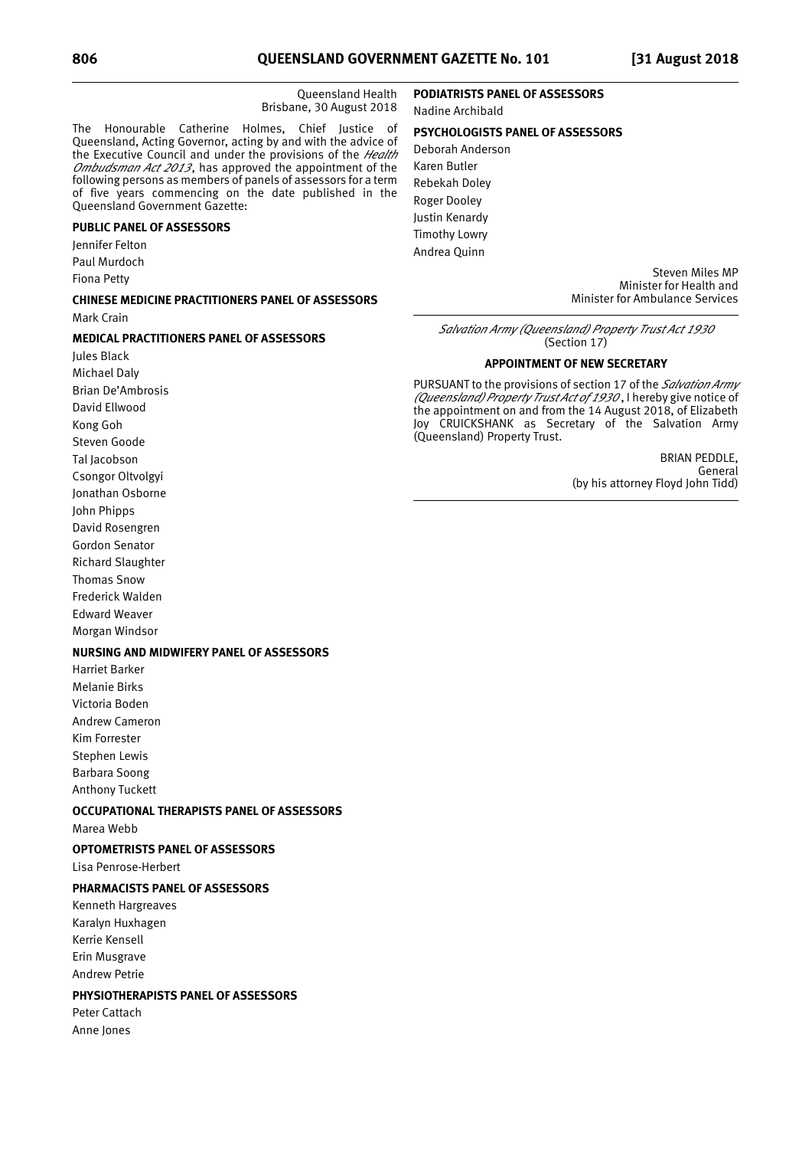Queensland Health Brisbane, 30 August 2018

The Honourable Catherine Holmes, Chief Justice of Queensland, Acting Governor, acting by and with the advice of the Executive Council and under the provisions of the *Health Ombudsman Act 2013*, has approved the appointment of the following persons as members of panels of assessors for a term of five years commencing on the date published in the Queensland Government Gazette:

### **PUBLIC PANEL OF ASSESSORS**

Jennifer Felton

Paul Murdoch

Fiona Petty

## **CHINESE MEDICINE PRACTITIONERS PANEL OF ASSESSORS**

Mark Crain

### **MEDICAL PRACTITIONERS PANEL OF ASSESSORS**

Jules Black Michael Daly Brian De'Ambrosis David Ellwood Kong Goh Steven Goode Tal Jacobson Csongor Oltvolgyi Jonathan Osborne John Phipps David Rosengren Gordon Senator Richard Slaughter Thomas Snow Frederick Walden Edward Weaver

Morgan Windsor

### **NURSING AND MIDWIFERY PANEL OF ASSESSORS**

Harriet Barker Melanie Birks Victoria Boden Andrew Cameron Kim Forrester Stephen Lewis Barbara Soong Anthony Tuckett

### **OCCUPATIONAL THERAPISTS PANEL OF ASSESSORS**

Marea Webb

### **OPTOMETRISTS PANEL OF ASSESSORS**

Lisa Penrose-Herbert

### **PHARMACISTS PANEL OF ASSESSORS**

Kenneth Hargreaves Karalyn Huxhagen Kerrie Kensell Erin Musgrave Andrew Petrie

### **PHYSIOTHERAPISTS PANEL OF ASSESSORS**

Peter Cattach Anne Jones

### **PODIATRISTS PANEL OF ASSESSORS** Nadine Archibald

### **PSYCHOLOGISTS PANEL OF ASSESSORS**

Deborah Anderson Karen Butler Rebekah Doley Roger Dooley Justin Kenardy Timothy Lowry Andrea Quinn

> Steven Miles MP Minister for Health and Minister for Ambulance Services

*Salvation Army (Queensland) Property Trust Act 1930* (Section 17)

#### **APPOINTMENT OF NEW SECRETARY**

PURSUANT to the provisions of section 17 of the *Salvation Army (Queensland) Property Trust Act of 1930* , I hereby give notice of the appointment on and from the 14 August 2018, of Elizabeth Joy CRUICKSHANK as Secretary of the Salvation Army (Queensland) Property Trust.

> BRIAN PEDDLE, General (by his attorney Floyd John Tidd)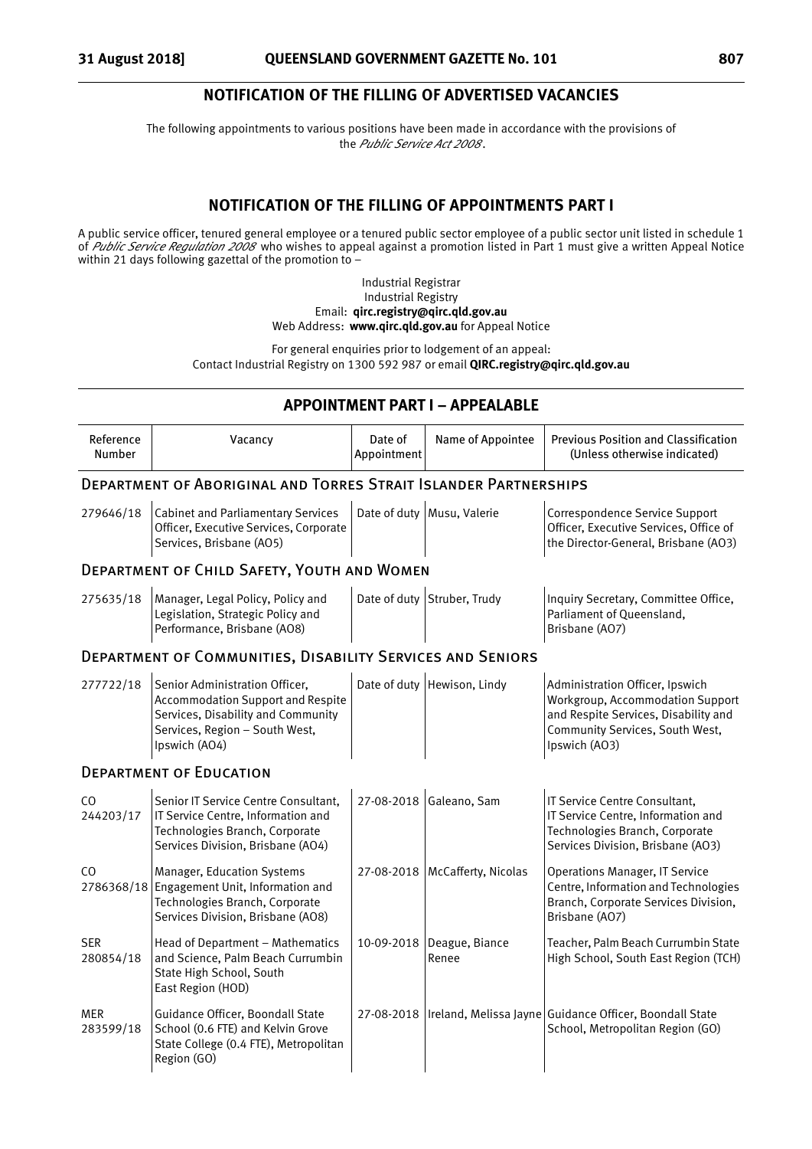### **NOTIFICATION OF THE FILLING OF ADVERTISED VACANCIES**

The following appointments to various positions have been made in accordance with the provisions of the *Public Service Act 2008* .

### **NOTIFICATION OF THE FILLING OF APPOINTMENTS PART I**

A public service officer, tenured general employee or a tenured public sector employee of a public sector unit listed in schedule 1 of *Public Service Regulation 2008* who wishes to appeal against a promotion listed in Part 1 must give a written Appeal Notice within 21 days following gazettal of the promotion to -

> Industrial Registrar Industrial Registry Email: **qirc.registry@qirc.qld.gov.au** Web Address: **www.qirc.qld.gov.au** for Appeal Notice

For general enquiries prior to lodgement of an appeal: Contact Industrial Registry on 1300 592 987 or email **QIRC.registry@qirc.qld.gov.au**

## **APPOINTMENT PART I – APPEALABLE**

| Reference<br>Number         | Vacancy                                                                                                                                                             | Date of<br>Appointment | Name of Appointee           | <b>Previous Position and Classification</b><br>(Unless otherwise indicated)                                                                                     |
|-----------------------------|---------------------------------------------------------------------------------------------------------------------------------------------------------------------|------------------------|-----------------------------|-----------------------------------------------------------------------------------------------------------------------------------------------------------------|
|                             | <b>DEPARTMENT OF ABORIGINAL AND TORRES STRAIT ISLANDER PARTNERSHIPS</b>                                                                                             |                        |                             |                                                                                                                                                                 |
| 279646/18                   | <b>Cabinet and Parliamentary Services</b><br>Officer, Executive Services, Corporate<br>Services, Brisbane (AO5)                                                     |                        | Date of duty Musu, Valerie  | Correspondence Service Support<br>Officer, Executive Services, Office of<br>the Director-General, Brisbane (AO3)                                                |
|                             | <b>DEPARTMENT OF CHILD SAFETY, YOUTH AND WOMEN</b>                                                                                                                  |                        |                             |                                                                                                                                                                 |
| 275635/18                   | Manager, Legal Policy, Policy and<br>Legislation, Strategic Policy and<br>Performance, Brisbane (AO8)                                                               |                        | Date of duty Struber, Trudy | Inquiry Secretary, Committee Office,<br>Parliament of Queensland,<br>Brisbane (AO7)                                                                             |
|                             | <b>DEPARTMENT OF COMMUNITIES, DISABILITY SERVICES AND SENIORS</b>                                                                                                   |                        |                             |                                                                                                                                                                 |
| 277722/18                   | Senior Administration Officer,<br><b>Accommodation Support and Respite</b><br>Services, Disability and Community<br>Services, Region - South West,<br>Ipswich (AO4) |                        | Date of duty Hewison, Lindy | Administration Officer, Ipswich<br>Workgroup, Accommodation Support<br>and Respite Services, Disability and<br>Community Services, South West,<br>Ipswich (AO3) |
|                             | <b>DEPARTMENT OF EDUCATION</b>                                                                                                                                      |                        |                             |                                                                                                                                                                 |
| C <sub>O</sub><br>244203/17 | Senior IT Service Centre Consultant,<br>IT Service Centre, Information and<br>Technologies Branch, Corporate<br>Services Division, Brisbane (AO4)                   |                        | 27-08-2018 Galeano, Sam     | IT Service Centre Consultant,<br>IT Service Centre, Information and<br>Technologies Branch, Corporate<br>Services Division, Brisbane (AO3)                      |
| CO.                         | <b>Manager, Education Systems</b><br>2786368/18 Engagement Unit, Information and<br>Technologies Branch, Corporate<br>Services Division, Brisbane (AO8)             | 27-08-2018             | McCafferty, Nicolas         | <b>Operations Manager, IT Service</b><br>Centre, Information and Technologies<br>Branch, Corporate Services Division,<br>Brisbane (AO7)                         |
| <b>SER</b><br>280854/18     | Head of Department - Mathematics<br>and Science, Palm Beach Currumbin<br>State High School, South<br>East Region (HOD)                                              | 10-09-2018             | Deague, Biance<br>Renee     | Teacher, Palm Beach Currumbin State<br>High School, South East Region (TCH)                                                                                     |
| <b>MER</b><br>283599/18     | Guidance Officer, Boondall State<br>School (0.6 FTE) and Kelvin Grove<br>State College (0.4 FTE), Metropolitan<br>Region (GO)                                       | 27-08-2018             |                             | Ireland, Melissa Jayne Guidance Officer, Boondall State<br>School, Metropolitan Region (GO)                                                                     |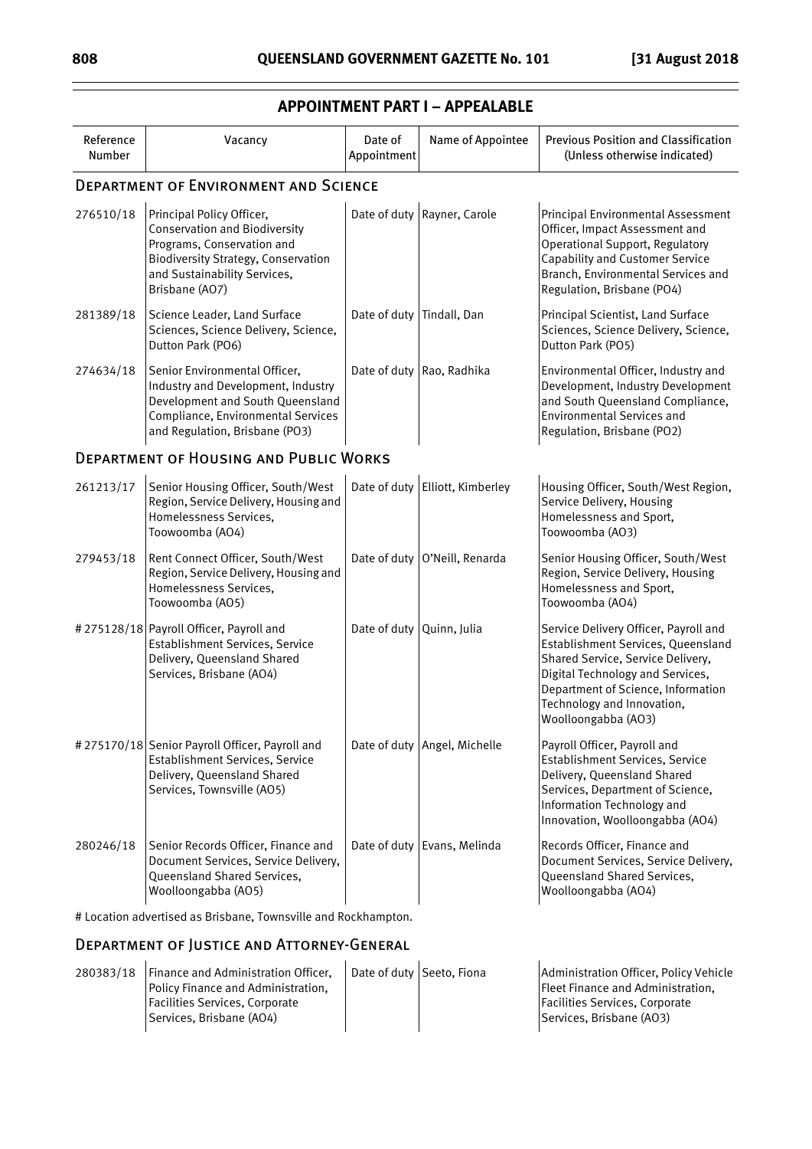| Reference<br>Number | Vacancy                                                                                                                                                                                         | Date of<br>Appointment      | Name of Appointee               | <b>Previous Position and Classification</b><br>(Unless otherwise indicated)                                                                                                                                                                     |
|---------------------|-------------------------------------------------------------------------------------------------------------------------------------------------------------------------------------------------|-----------------------------|---------------------------------|-------------------------------------------------------------------------------------------------------------------------------------------------------------------------------------------------------------------------------------------------|
|                     | <b>DEPARTMENT OF ENVIRONMENT AND SCIENCE</b>                                                                                                                                                    |                             |                                 |                                                                                                                                                                                                                                                 |
| 276510/18           | Principal Policy Officer,<br><b>Conservation and Biodiversity</b><br>Programs, Conservation and<br><b>Biodiversity Strategy, Conservation</b><br>and Sustainability Services,<br>Brisbane (AO7) |                             | Date of duty Rayner, Carole     | Principal Environmental Assessment<br>Officer, Impact Assessment and<br><b>Operational Support, Regulatory</b><br><b>Capability and Customer Service</b><br>Branch, Environmental Services and<br>Regulation, Brisbane (PO4)                    |
| 281389/18           | Science Leader, Land Surface<br>Sciences, Science Delivery, Science,<br>Dutton Park (PO6)                                                                                                       | Date of duty   Tindall, Dan |                                 | Principal Scientist, Land Surface<br>Sciences, Science Delivery, Science,<br>Dutton Park (PO5)                                                                                                                                                  |
| 274634/18           | Senior Environmental Officer,<br>Industry and Development, Industry<br>Development and South Queensland<br>Compliance, Environmental Services<br>and Regulation, Brisbane (PO3)                 |                             | Date of duty Rao, Radhika       | Environmental Officer, Industry and<br>Development, Industry Development<br>and South Queensland Compliance,<br><b>Environmental Services and</b><br>Regulation, Brisbane (PO2)                                                                 |
|                     | <b>DEPARTMENT OF HOUSING AND PUBLIC WORKS</b>                                                                                                                                                   |                             |                                 |                                                                                                                                                                                                                                                 |
| 261213/17           | Senior Housing Officer, South/West<br>Region, Service Delivery, Housing and<br>Homelessness Services,<br>Toowoomba (AO4)                                                                        |                             | Date of duty Elliott, Kimberley | Housing Officer, South/West Region,<br>Service Delivery, Housing<br>Homelessness and Sport,<br>Toowoomba (AO3)                                                                                                                                  |
| 279453/18           | Rent Connect Officer, South/West<br>Region, Service Delivery, Housing and<br>Homelessness Services,<br>Toowoomba (AO5)                                                                          |                             | Date of duty O'Neill, Renarda   | Senior Housing Officer, South/West<br>Region, Service Delivery, Housing<br>Homelessness and Sport,<br>Toowoomba (AO4)                                                                                                                           |
|                     | #275128/18 Payroll Officer, Payroll and<br>Establishment Services, Service<br>Delivery, Queensland Shared<br>Services, Brisbane (AO4)                                                           | Date of duty Quinn, Julia   |                                 | Service Delivery Officer, Payroll and<br>Establishment Services, Queensland<br>Shared Service, Service Delivery,<br>Digital Technology and Services,<br>Department of Science, Information<br>Technology and Innovation,<br>Woolloongabba (AO3) |
|                     | #275170/18 Senior Payroll Officer, Payroll and<br>Establishment Services, Service<br>Delivery, Queensland Shared<br>Services, Townsville (AO5)                                                  |                             | Date of duty Angel, Michelle    | Payroll Officer, Payroll and<br>Establishment Services, Service<br>Delivery, Queensland Shared<br>Services, Department of Science,<br>Information Technology and<br>Innovation, Woolloongabba (AO4)                                             |
| 280246/18           | Senior Records Officer, Finance and<br>Document Services, Service Delivery,<br>Queensland Shared Services,<br>Woolloongabba (AO5)                                                               |                             | Date of duty Evans, Melinda     | Records Officer, Finance and<br>Document Services, Service Delivery,<br>Queensland Shared Services,<br>Woolloongabba (AO4)                                                                                                                      |

### **APPOINTMENT PART I – APPEALABLE**

# Location advertised as Brisbane, Townsville and Rockhampton.

### Department of Justice and Attorney-General

| <b>Finance and Administration Officer.</b> |  | Administration Officer, Policy Vehicle |
|--------------------------------------------|--|----------------------------------------|
| Policy Finance and Administration,         |  | Fleet Finance and Administration,      |
| Facilities Services, Corporate             |  | Facilities Services, Corporate         |
| Services, Brisbane (AO4)                   |  | Services, Brisbane (AO3)               |
|                                            |  | Date of duty Seeto, Fiona              |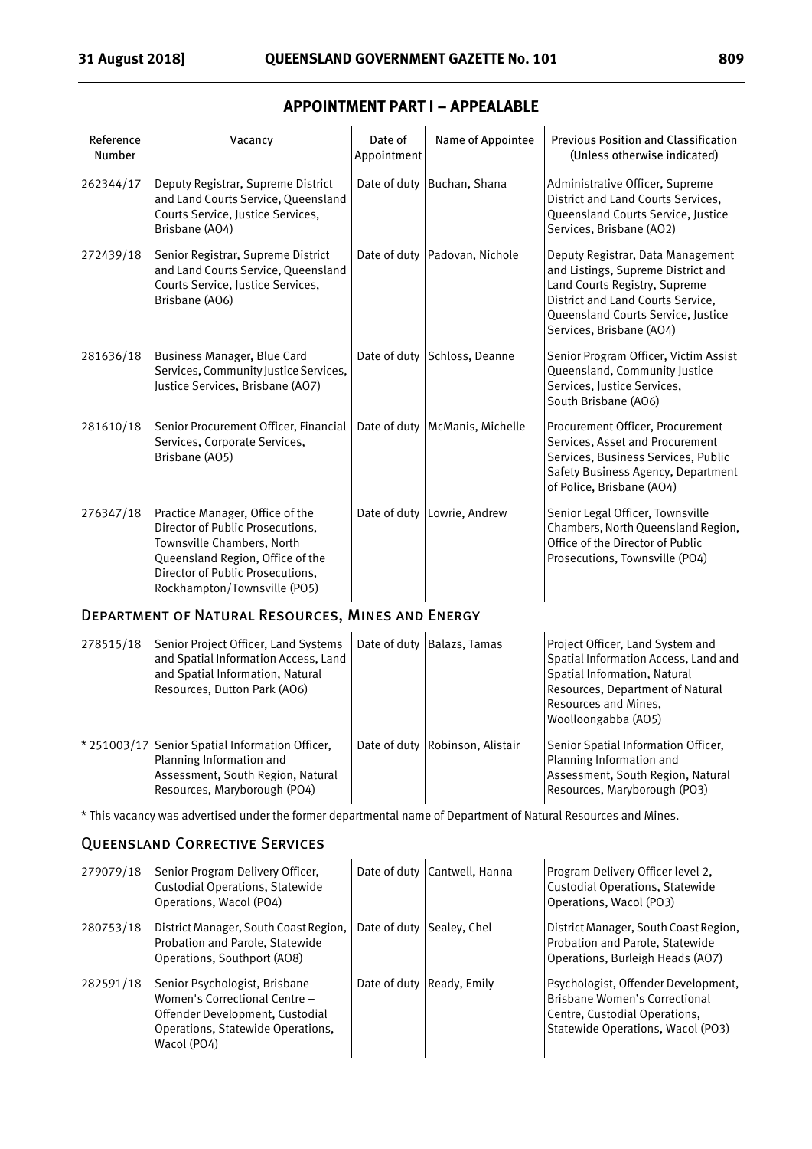| Reference<br>Number | Vacancy                                                                                                                                                                                                   | Date of<br>Appointment | Name of Appointee                | <b>Previous Position and Classification</b><br>(Unless otherwise indicated)                                                                                                                                     |
|---------------------|-----------------------------------------------------------------------------------------------------------------------------------------------------------------------------------------------------------|------------------------|----------------------------------|-----------------------------------------------------------------------------------------------------------------------------------------------------------------------------------------------------------------|
| 262344/17           | Deputy Registrar, Supreme District<br>and Land Courts Service, Queensland<br>Courts Service, Justice Services,<br>Brisbane (AO4)                                                                          | Date of duty           | Buchan, Shana                    | Administrative Officer, Supreme<br>District and Land Courts Services,<br>Queensland Courts Service, Justice<br>Services, Brisbane (AO2)                                                                         |
| 272439/18           | Senior Registrar, Supreme District<br>and Land Courts Service, Queensland<br>Courts Service, Justice Services,<br>Brisbane (AO6)                                                                          |                        | Date of duty   Padovan, Nichole  | Deputy Registrar, Data Management<br>and Listings, Supreme District and<br>Land Courts Registry, Supreme<br>District and Land Courts Service,<br>Queensland Courts Service, Justice<br>Services, Brisbane (AO4) |
| 281636/18           | Business Manager, Blue Card<br>Services, Community Justice Services,<br>Justice Services, Brisbane (AO7)                                                                                                  |                        | Date of duty Schloss, Deanne     | Senior Program Officer, Victim Assist<br>Queensland, Community Justice<br>Services, Justice Services,<br>South Brisbane (AO6)                                                                                   |
| 281610/18           | Senior Procurement Officer, Financial<br>Services, Corporate Services,<br>Brisbane (AO5)                                                                                                                  |                        | Date of duty   McManis, Michelle | Procurement Officer, Procurement<br>Services, Asset and Procurement<br>Services, Business Services, Public<br>Safety Business Agency, Department<br>of Police, Brisbane (AO4)                                   |
| 276347/18           | Practice Manager, Office of the<br>Director of Public Prosecutions,<br>Townsville Chambers, North<br>Queensland Region, Office of the<br>Director of Public Prosecutions,<br>Rockhampton/Townsville (PO5) |                        | Date of duty   Lowrie, Andrew    | Senior Legal Officer, Townsville<br>Chambers, North Queensland Region,<br>Office of the Director of Public<br>Prosecutions, Townsville (PO4)                                                                    |
|                     | DEPARTMENT OF NATURAL RESOURCES, MINES AND ENERGY                                                                                                                                                         |                        |                                  |                                                                                                                                                                                                                 |
| 278515/18           | Senior Project Officer, Land Systems<br>and Spatial Information Access, Land<br>and Spatial Information, Natural<br>Resources, Dutton Park (AO6)                                                          |                        | Date of duty   Balazs, Tamas     | Project Officer, Land System and<br>Spatial Information Access, Land and<br>Spatial Information, Natural<br>Resources, Department of Natural<br>Resources and Mines,<br>Woolloongabba (AO5)                     |
|                     | * 251003/17 Senior Spatial Information Officer,<br>Planning Information and<br>Assessment, South Region, Natural<br>Resources, Maryborough (PO4)                                                          |                        | Date of duty Robinson, Alistair  | Senior Spatial Information Officer,<br>Planning Information and<br>Assessment, South Region, Natural<br>Resources, Maryborough (PO3)                                                                            |

### **APPOINTMENT PART I – APPEALABLE**

\* This vacancy was advertised under the former departmental name of Department of Natural Resources and Mines.

### Queensland Corrective Services

| 279079/18 | Senior Program Delivery Officer,<br><b>Custodial Operations, Statewide</b><br>Operations, Wacol (PO4)                                                 |                           | Date of duty Cantwell, Hanna | Program Delivery Officer level 2,<br><b>Custodial Operations, Statewide</b><br>Operations, Wacol (PO3)                                     |
|-----------|-------------------------------------------------------------------------------------------------------------------------------------------------------|---------------------------|------------------------------|--------------------------------------------------------------------------------------------------------------------------------------------|
| 280753/18 | District Manager, South Coast Region,<br>Probation and Parole, Statewide<br>Operations, Southport (AO8)                                               | Date of duty Sealey, Chel |                              | District Manager, South Coast Region,<br>Probation and Parole, Statewide<br>Operations, Burleigh Heads (AO7)                               |
| 282591/18 | Senior Psychologist, Brisbane<br>Women's Correctional Centre -<br>Offender Development, Custodial<br>Operations, Statewide Operations,<br>Wacol (PO4) |                           | Date of duty Ready, Emily    | Psychologist, Offender Development,<br>Brisbane Women's Correctional<br>Centre, Custodial Operations,<br>Statewide Operations, Wacol (PO3) |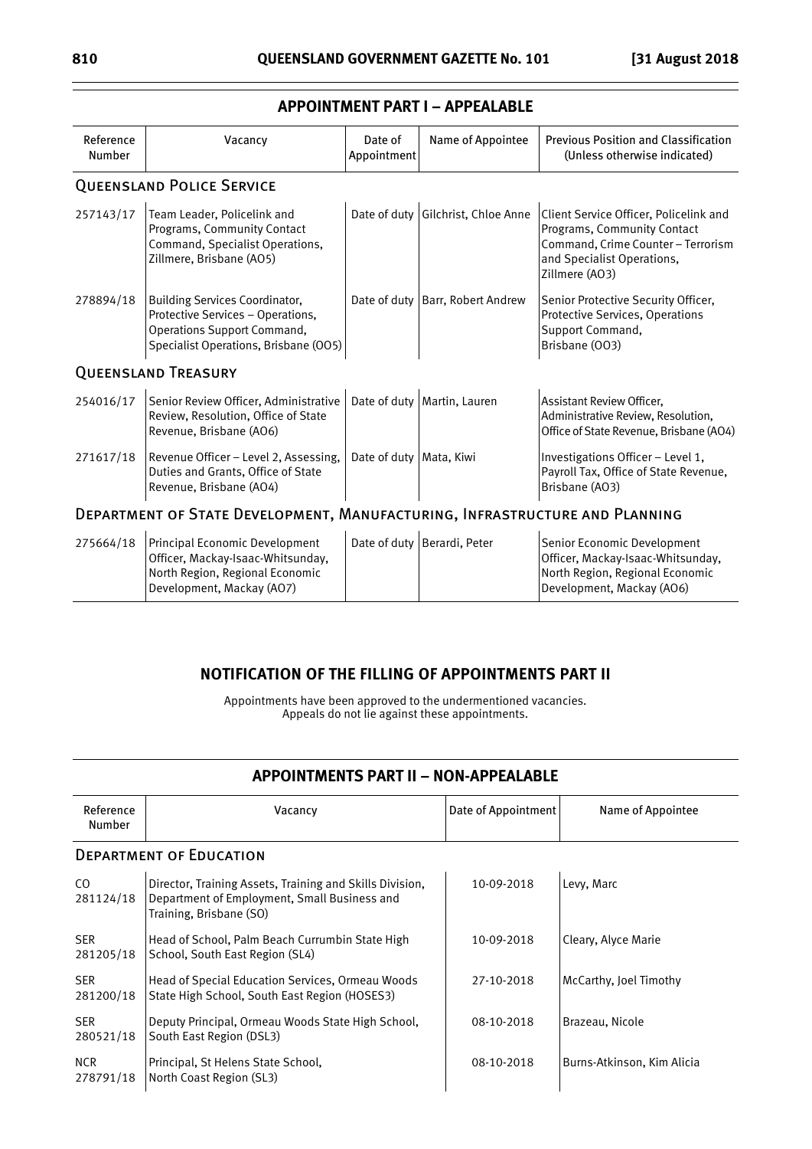| Reference<br>Number | Vacancy                                                                                                                                                   | Date of<br>Appointment    | Name of Appointee                  | <b>Previous Position and Classification</b><br>(Unless otherwise indicated)                                                                                 |
|---------------------|-----------------------------------------------------------------------------------------------------------------------------------------------------------|---------------------------|------------------------------------|-------------------------------------------------------------------------------------------------------------------------------------------------------------|
|                     | <b>QUEENSLAND POLICE SERVICE</b>                                                                                                                          |                           |                                    |                                                                                                                                                             |
| 257143/17           | Team Leader, Policelink and<br>Programs, Community Contact<br>Command, Specialist Operations,<br>Zillmere, Brisbane (AO5)                                 |                           | Date of duty Gilchrist, Chloe Anne | Client Service Officer, Policelink and<br>Programs, Community Contact<br>Command, Crime Counter - Terrorism<br>and Specialist Operations,<br>Zillmere (AO3) |
| 278894/18           | <b>Building Services Coordinator,</b><br>Protective Services - Operations,<br><b>Operations Support Command,</b><br>Specialist Operations, Brisbane (OO5) |                           | Date of duty   Barr, Robert Andrew | Senior Protective Security Officer,<br>Protective Services, Operations<br>Support Command,<br>Brisbane (003)                                                |
|                     | <b>QUEENSLAND TREASURY</b>                                                                                                                                |                           |                                    |                                                                                                                                                             |
| 254016/17           | Senior Review Officer, Administrative<br>Review, Resolution, Office of State<br>Revenue, Brisbane (AO6)                                                   |                           | Date of duty   Martin, Lauren      | Assistant Review Officer,<br>Administrative Review, Resolution,<br>Office of State Revenue, Brisbane (AO4)                                                  |
| 271617/18           | Revenue Officer - Level 2, Assessing,<br>Duties and Grants, Office of State<br>Revenue, Brisbane (AO4)                                                    | Date of duty   Mata, Kiwi |                                    | Investigations Officer - Level 1,<br>Payroll Tax, Office of State Revenue,<br>Brisbane (AO3)                                                                |
|                     | DEPARTMENT OF STATE DEVELOPMENT, MANUFACTURING, INFRASTRUCTURE AND PLANNING                                                                               |                           |                                    |                                                                                                                                                             |
| 275664/18           | Principal Economic Development<br>Officer, Mackay-Isaac-Whitsunday,<br>North Region, Regional Economic<br>Development, Mackay (AO7)                       |                           | Date of duty Berardi, Peter        | Senior Economic Development<br>Officer, Mackay-Isaac-Whitsunday,<br>North Region, Regional Economic<br>Development, Mackay (AO6)                            |

### **APPOINTMENT PART I – APPEALABLE**

### **NOTIFICATION OF THE FILLING OF APPOINTMENTS PART II**

Appointments have been approved to the undermentioned vacancies. Appeals do not lie against these appointments.

### **APPOINTMENTS PART II – NON-APPEALABLE**

| Reference<br>Number     | Vacancy                                                                                                                             | Date of Appointment | Name of Appointee          |
|-------------------------|-------------------------------------------------------------------------------------------------------------------------------------|---------------------|----------------------------|
|                         | <b>DEPARTMENT OF EDUCATION</b>                                                                                                      |                     |                            |
| CO.<br>281124/18        | Director, Training Assets, Training and Skills Division,<br>Department of Employment, Small Business and<br>Training, Brisbane (SO) | 10-09-2018          | Levy, Marc                 |
| <b>SER</b><br>281205/18 | Head of School, Palm Beach Currumbin State High<br>School, South East Region (SL4)                                                  | 10-09-2018          | Cleary, Alyce Marie        |
| <b>SER</b><br>281200/18 | Head of Special Education Services, Ormeau Woods<br>State High School, South East Region (HOSES3)                                   | 27-10-2018          | McCarthy, Joel Timothy     |
| <b>SER</b><br>280521/18 | Deputy Principal, Ormeau Woods State High School,<br>South East Region (DSL3)                                                       | 08-10-2018          | Brazeau, Nicole            |
| <b>NCR</b><br>278791/18 | Principal, St Helens State School,<br>North Coast Region (SL3)                                                                      | 08-10-2018          | Burns-Atkinson, Kim Alicia |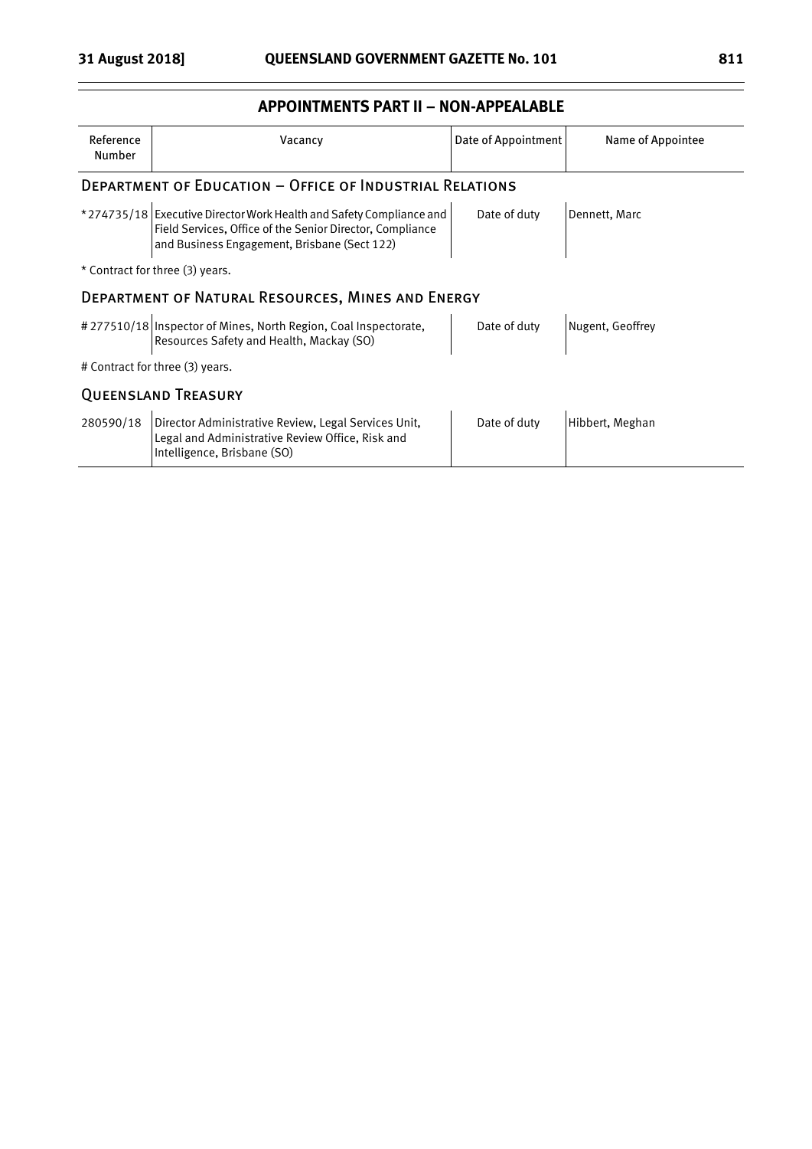### **APPOINTMENTS PART II – NON-APPEALABLE**

| Reference<br>Number                               | Vacancy                                                                                                                                                                          | Date of Appointment | Name of Appointee |  |  |
|---------------------------------------------------|----------------------------------------------------------------------------------------------------------------------------------------------------------------------------------|---------------------|-------------------|--|--|
|                                                   | <b>DEPARTMENT OF EDUCATION - OFFICE OF INDUSTRIAL RELATIONS</b>                                                                                                                  |                     |                   |  |  |
|                                                   | *274735/18 Executive Director Work Health and Safety Compliance and<br>Field Services, Office of the Senior Director, Compliance<br>and Business Engagement, Brisbane (Sect 122) | Date of duty        | Dennett, Marc     |  |  |
| * Contract for three (3) years.                   |                                                                                                                                                                                  |                     |                   |  |  |
| DEPARTMENT OF NATURAL RESOURCES, MINES AND ENERGY |                                                                                                                                                                                  |                     |                   |  |  |
|                                                   | #277510/18   Inspector of Mines, North Region, Coal Inspectorate,<br>Resources Safety and Health, Mackay (SO)                                                                    | Date of duty        | Nugent, Geoffrey  |  |  |
| # Contract for three (3) years.                   |                                                                                                                                                                                  |                     |                   |  |  |
| <b>QUEENSLAND TREASURY</b>                        |                                                                                                                                                                                  |                     |                   |  |  |
| 280590/18                                         | Director Administrative Review, Legal Services Unit,<br>Legal and Administrative Review Office, Risk and<br>Intelligence, Brisbane (SO)                                          | Date of duty        | Hibbert, Meghan   |  |  |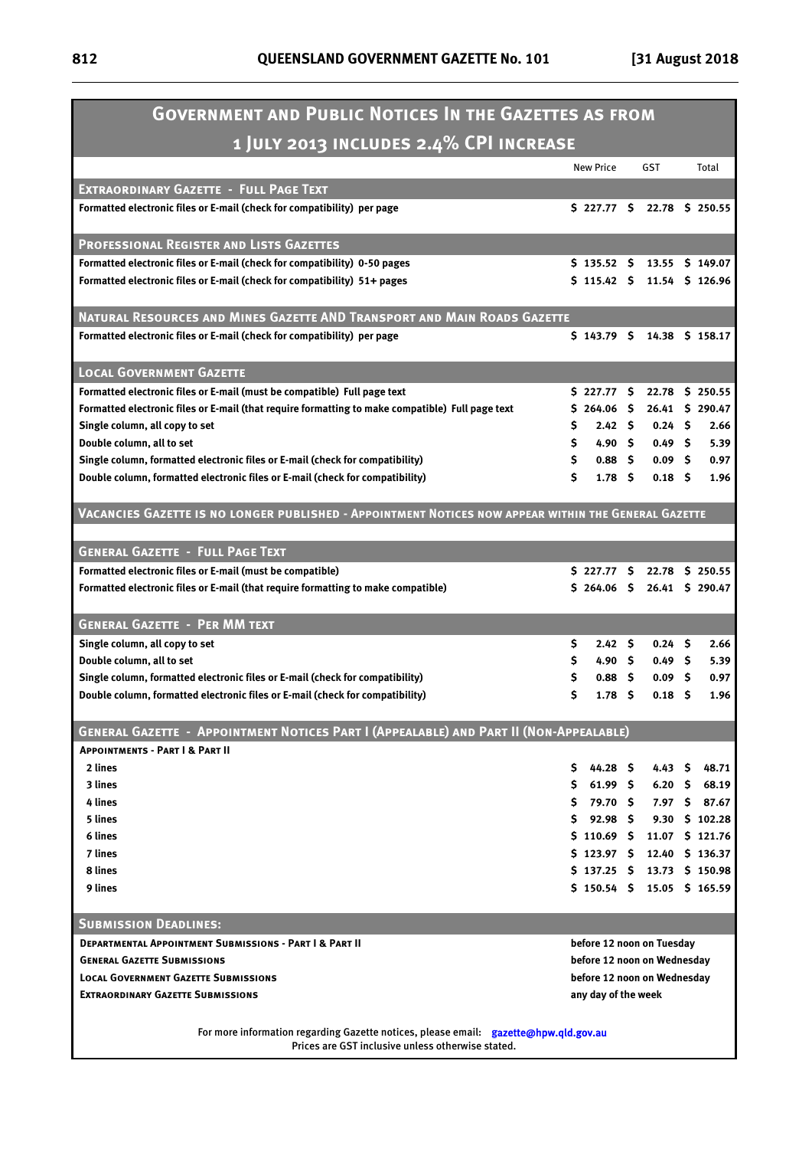ı,

| <b>GOVERNMENT AND PUBLIC NOTICES IN THE GAZETTES AS FROM</b>                                         |          |                                                            |      |                   |     |                 |
|------------------------------------------------------------------------------------------------------|----------|------------------------------------------------------------|------|-------------------|-----|-----------------|
| 1 JULY 2013 INCLUDES 2.4% CPI INCREASE                                                               |          |                                                            |      |                   |     |                 |
|                                                                                                      |          | <b>New Price</b>                                           |      | <b>GST</b>        |     | Total           |
| <b>EXTRAORDINARY GAZETTE - FULL PAGE TEXT</b>                                                        |          |                                                            |      |                   |     |                 |
| Formatted electronic files or E-mail (check for compatibility) per page                              |          | \$227.77 \$                                                |      |                   |     | 22.78 \$ 250.55 |
|                                                                                                      |          |                                                            |      |                   |     |                 |
| <b>PROFESSIONAL REGISTER AND LISTS GAZETTES</b>                                                      |          |                                                            |      |                   |     |                 |
| Formatted electronic files or E-mail (check for compatibility) 0-50 pages                            |          | \$135.52\$                                                 |      |                   |     | 13.55 \$ 149.07 |
| Formatted electronic files or E-mail (check for compatibility) 51+ pages                             |          | \$115.42 \$                                                |      |                   |     | 11.54 \$ 126.96 |
|                                                                                                      |          |                                                            |      |                   |     |                 |
| NATURAL RESOURCES AND MINES GAZETTE AND TRANSPORT AND MAIN ROADS GAZETTE                             |          |                                                            |      |                   |     |                 |
| Formatted electronic files or E-mail (check for compatibility) per page                              |          | $$143.79$ \$                                               |      |                   |     | 14.38 \$ 158.17 |
|                                                                                                      |          |                                                            |      |                   |     |                 |
| <b>LOCAL GOVERNMENT GAZETTE</b>                                                                      |          |                                                            |      |                   |     |                 |
| Formatted electronic files or E-mail (must be compatible) Full page text                             |          | \$227.77 \$                                                |      |                   |     | 22.78 \$ 250.55 |
| Formatted electronic files or E-mail (that require formatting to make compatible) Full page text     |          | \$264.06\$                                                 |      |                   |     | 26.41 \$ 290.47 |
| Single column, all copy to set                                                                       | S        | 2.42 <sup>5</sup>                                          |      | 0.24S             |     | 2.66            |
| Double column, all to set                                                                            | S.       | 4.90 \$                                                    |      | 0.49 <sub>5</sub> |     | 5.39            |
| Single column, formatted electronic files or E-mail (check for compatibility)                        | \$.      | 0.88 <sup>5</sup>                                          |      | 0.09 <sub>5</sub> |     | 0.97            |
| Double column, formatted electronic files or E-mail (check for compatibility)                        | Ś.       | 1.78 <sub>5</sub>                                          |      | 0.18 <sub>5</sub> |     | 1.96            |
|                                                                                                      |          |                                                            |      |                   |     |                 |
| VACANCIES GAZETTE IS NO LONGER PUBLISHED - APPOINTMENT NOTICES NOW APPEAR WITHIN THE GENERAL GAZETTE |          |                                                            |      |                   |     |                 |
|                                                                                                      |          |                                                            |      |                   |     |                 |
| <b>GENERAL GAZETTE - FULL PAGE TEXT</b>                                                              |          |                                                            |      |                   |     |                 |
| Formatted electronic files or E-mail (must be compatible)                                            |          | \$ 227.77 \$ 22.78 \$ 250.55                               |      |                   |     |                 |
| Formatted electronic files or E-mail (that require formatting to make compatible)                    |          | \$264.06\$                                                 |      |                   |     | 26.41 \$ 290.47 |
| <b>GENERAL GAZETTE - PER MM TEXT</b>                                                                 |          |                                                            |      |                   |     |                 |
|                                                                                                      |          |                                                            |      | 0.24              |     | 2.66            |
| Single column, all copy to set<br>Double column, all to set                                          | \$<br>\$ | 2.42 <sup>5</sup><br>4.90 S                                |      | 0.49 <sup>5</sup> | - S | 5.39            |
| Single column, formatted electronic files or E-mail (check for compatibility)                        | \$       | 0.88 <sub>5</sub>                                          |      | 0.09              | -S  | 0.97            |
| Double column, formatted electronic files or E-mail (check for compatibility)                        | \$       | 1.78                                                       | - \$ | 0.18              | S   | 1.96            |
|                                                                                                      |          |                                                            |      |                   |     |                 |
| GENERAL GAZETTE - APPOINTMENT NOTICES PART I (APPEALABLE) AND PART II (NON-APPEALABLE)               |          |                                                            |      |                   |     |                 |
| <b>APPOINTMENTS - PART   &amp; PART II</b>                                                           |          |                                                            |      |                   |     |                 |
| 2 lines                                                                                              | S.       | 44.28 \$                                                   |      | 4.43 S            |     | 48.71           |
| 3 lines                                                                                              | S.       | 61.99 \$                                                   |      | 6.20              | S.  | 68.19           |
| 4 lines                                                                                              | S.       | 79.70 \$                                                   |      |                   |     | 7.97 \$ 87.67   |
| 5 lines                                                                                              | S        | $92.98 \quad 5$                                            |      |                   |     | 9.30 \$ 102.28  |
| 6 lines                                                                                              |          | $$110.69$ \$                                               |      |                   |     | 11.07 \$ 121.76 |
| 7 lines                                                                                              |          | \$123.97 \$                                                |      |                   |     | 12.40 \$ 136.37 |
| 8 lines                                                                                              |          | \$137.25\$                                                 |      |                   |     | 13.73 \$ 150.98 |
| 9 lines                                                                                              |          | \$150.54\$                                                 |      |                   |     | 15.05 \$ 165.59 |
|                                                                                                      |          |                                                            |      |                   |     |                 |
| <b>SUBMISSION DEADLINES:</b>                                                                         |          |                                                            |      |                   |     |                 |
| <b>DEPARTMENTAL APPOINTMENT SUBMISSIONS - PART   &amp; PART    </b>                                  |          | before 12 noon on Tuesday                                  |      |                   |     |                 |
| <b>GENERAL GAZETTE SUBMISSIONS</b><br><b>LOCAL GOVERNMENT GAZETTE SUBMISSIONS</b>                    |          | before 12 noon on Wednesday<br>before 12 noon on Wednesday |      |                   |     |                 |
| <b>EXTRAORDINARY GAZETTE SUBMISSIONS</b>                                                             |          | any day of the week                                        |      |                   |     |                 |
|                                                                                                      |          |                                                            |      |                   |     |                 |
| For more information regarding Gazette notices, please email: gazette@hpw.qld.gov.au                 |          |                                                            |      |                   |     |                 |
| Prices are GST inclusive unless otherwise stated.                                                    |          |                                                            |      |                   |     |                 |
|                                                                                                      |          |                                                            |      |                   |     |                 |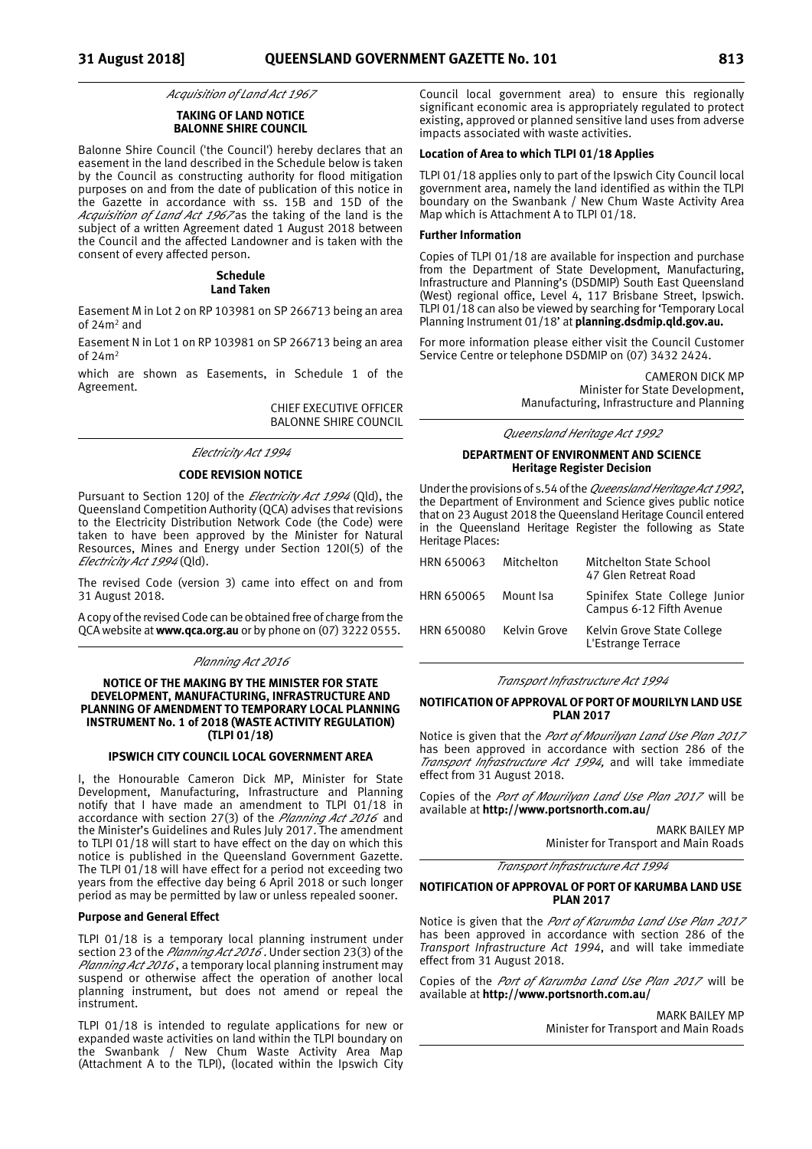*Acquisition of Land Act 1967*

### **TAKING OF LAND NOTICE BALONNE SHIRE COUNCIL**

Balonne Shire Council ('the Council') hereby declares that an easement in the land described in the Schedule below is taken by the Council as constructing authority for flood mitigation purposes on and from the date of publication of this notice in the Gazette in accordance with ss. 15B and 15D of the *Acquisition of Land Act 1967* as the taking of the land is the subject of a written Agreement dated 1 August 2018 between the Council and the affected Landowner and is taken with the consent of every affected person.

#### **Schedule Land Taken**

Easement M in Lot 2 on RP 103981 on SP 266713 being an area of 24m2 and

Easement N in Lot 1 on RP 103981 on SP 266713 being an area  $of 24m<sup>2</sup>$ 

which are shown as Easements, in Schedule 1 of the Agreement.

> CHIEF EXECUTIVE OFFICER BALONNE SHIRE COUNCIL

#### *Electricity Act 1994*

#### **CODE REVISION NOTICE**

Pursuant to Section 120J of the *Electricity Act 1994* (Qld), the Queensland Competition Authority (QCA) advises that revisions to the Electricity Distribution Network Code (the Code) were taken to have been approved by the Minister for Natural Resources, Mines and Energy under Section 120I(5) of the *Electricity Act 1994* (Qld).

The revised Code (version 3) came into effect on and from 31 August 2018.

A copy of the revised Code can be obtained free of charge from the QCA website at **www.qca.org.au** or by phone on (07) 3222 0555.

#### *Planning Act 2016*

#### **NOTICE OF THE MAKING BY THE MINISTER FOR STATE DEVELOPMENT, MANUFACTURING, INFRASTRUCTURE AND PLANNING OF AMENDMENT TO TEMPORARY LOCAL PLANNING INSTRUMENT No. 1 of 2018 (WASTE ACTIVITY REGULATION) (TLPI 01/18)**

#### **IPSWICH CITY COUNCIL LOCAL GOVERNMENT AREA**

I, the Honourable Cameron Dick MP, Minister for State Development, Manufacturing, Infrastructure and Planning notify that I have made an amendment to TLPI 01/18 in accordance with section 27(3) of the *Planning Act 2016* and the Minister's Guidelines and Rules July 2017. The amendment to TLPI 01/18 will start to have effect on the day on which this notice is published in the Queensland Government Gazette. The TLPI  $01/18$  will have effect for a period not exceeding two years from the effective day being 6 April 2018 or such longer period as may be permitted by law or unless repealed sooner.

#### **Purpose and General Effect**

TLPI 01/18 is a temporary local planning instrument under section 23 of the *Planning Act 2016* . Under section 23(3) of the *Planning Act 2016* , a temporary local planning instrument may suspend or otherwise affect the operation of another local planning instrument, but does not amend or repeal the instrument.

TLPI 01/18 is intended to regulate applications for new or expanded waste activities on land within the TLPI boundary on the Swanbank / New Chum Waste Activity Area Map (Attachment A to the TLPI), (located within the Ipswich City

Council local government area) to ensure this regionally significant economic area is appropriately regulated to protect existing, approved or planned sensitive land uses from adverse impacts associated with waste activities.

### **Location of Area to which TLPI 01/18 Applies**

TLPI 01/18 applies only to part of the Ipswich City Council local government area, namely the land identified as within the TLPI boundary on the Swanbank / New Chum Waste Activity Area Map which is Attachment A to TLPI 01/18.

#### **Further Information**

Copies of TLPI 01/18 are available for inspection and purchase from the Department of State Development, Manufacturing, Infrastructure and Planning's (DSDMIP) South East Queensland (West) regional office, Level 4, 117 Brisbane Street, Ipswich. TLPI 01/18 can also be viewed by searching for 'Temporary Local Planning Instrument 01/18' at **planning.dsdmip.qld.gov.au.**

For more information please either visit the Council Customer Service Centre or telephone DSDMIP on (07) 3432 2424.

> CAMERON DICK MP Minister for State Development, Manufacturing, Infrastructure and Planning

*Queensland Heritage Act 1992*

### **DEPARTMENT OF ENVIRONMENT AND SCIENCE Heritage Register Decision**

Under the provisions of s.54 of the *Queensland Heritage Act1992*, the Department of Environment and Science gives public notice that on 23 August 2018 the Queensland Heritage Council entered in the Queensland Heritage Register the following as State Heritage Places:

| HRN 650063 | Mitchelton   | Mitchelton State School<br>47 Glen Retreat Road           |
|------------|--------------|-----------------------------------------------------------|
| HRN 650065 | Mount Isa    | Spinifex State College Junior<br>Campus 6-12 Fifth Avenue |
| HRN 650080 | Kelvin Grove | Kelvin Grove State College<br>L'Estrange Terrace          |

*Transport Infrastructure Act 1994* 

#### **NOTIFICATION OF APPROVAL OF PORT OF MOURILYN LAND USE PLAN 2017**

Notice is given that the *Port of Mourilyan Land Use Plan 2017* has been approved in accordance with section 286 of the *Transport Infrastructure Act 1994*, and will take immediate effect from 31 August 2018.

Copies of the *Port of Mourilyan Land Use Plan 2017* will be available at **http://www.portsnorth.com.au/**

> MARK BAILEY MP Minister for Transport and Main Roads

*Transport Infrastructure Act 1994* 

#### **NOTIFICATION OF APPROVAL OF PORT OF KARUMBA LAND USE PLAN 2017**

Notice is given that the *Port of Karumba Land Use Plan 2017* has been approved in accordance with section 286 of the *Transport Infrastructure Act 1994*, and will take immediate effect from 31 August 2018.

Copies of the *Port of Karumba Land Use Plan 2017* will be available at **http://www.portsnorth.com.au/**

> MARK BAILEY MP Minister for Transport and Main Roads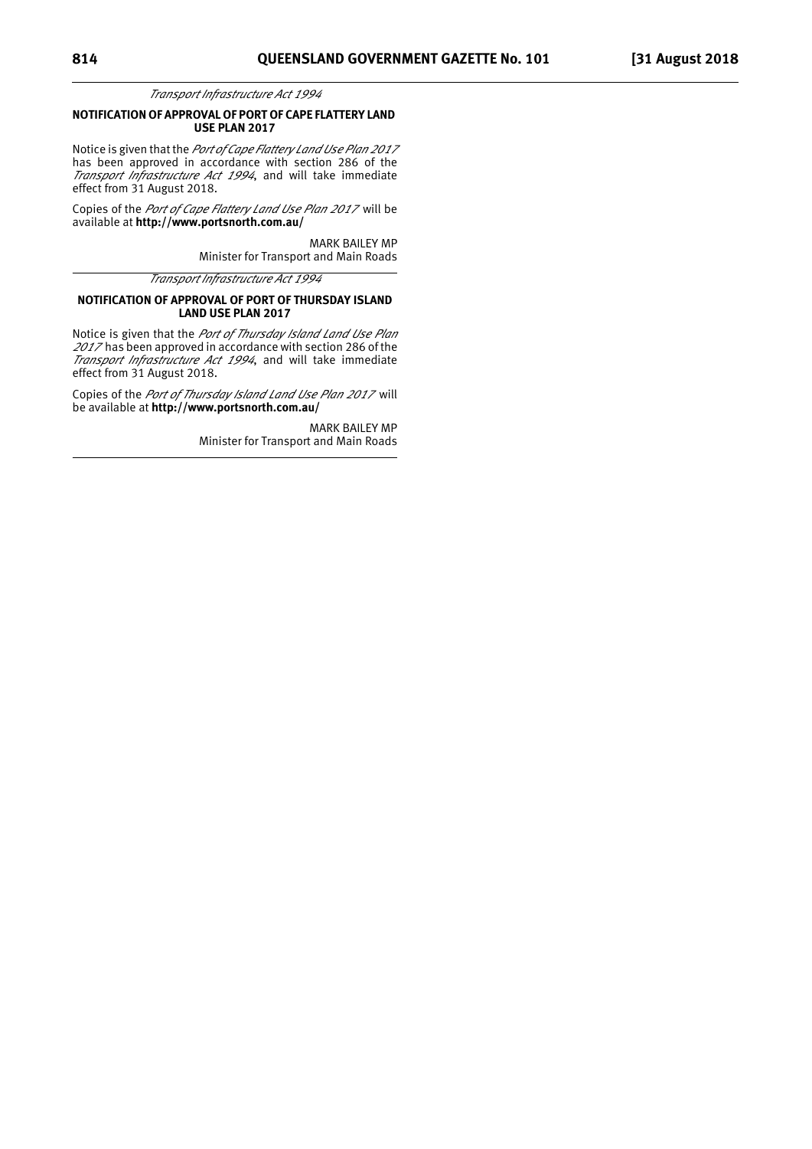*Transport Infrastructure Act 1994* 

#### **NOTIFICATION OF APPROVAL OF PORT OF CAPE FLATTERY LAND USE PLAN 2017**

Notice is given that the *Port of Cape Flattery Land Use Plan 2017* has been approved in accordance with section 286 of the *Transport Infrastructure Act 1994*, and will take immediate effect from 31 August 2018.

Copies of the *Port of Cape Flattery Land Use Plan 2017* will be available at **http://www.portsnorth.com.au/**

> MARK BAILEY MP Minister for Transport and Main Roads

*Transport Infrastructure Act 1994* 

### **NOTIFICATION OF APPROVAL OF PORT OF THURSDAY ISLAND LAND USE PLAN 2017**

Notice is given that the *Port of Thursday Island Land Use Plan <sup>2017</sup>* has been approved in accordance with section 286 of the *Transport Infrastructure Act 1994*, and will take immediate effect from 31 August 2018.

Copies of the *Port of Thursday Island Land Use Plan 2017* will be available at **http://www.portsnorth.com.au/**

> MARK BAILEY MP Minister for Transport and Main Roads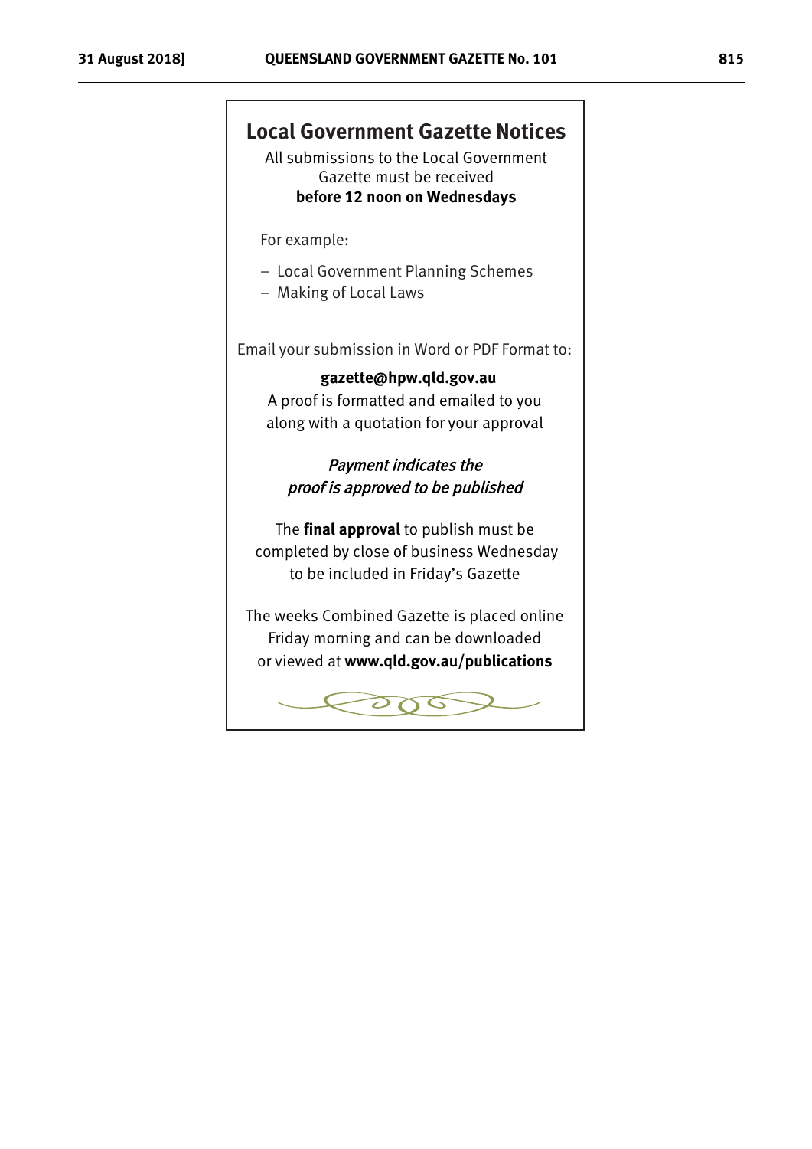## **Local Government Gazette Notices**

All submissions to the Local Government Gazette must be received **before 12 noon on Wednesdays** 

For example:

- Local Government Planning Schemes
- Making of Local Laws

Email your submission in Word or PDF Format to

### $g$ azette@hpw.qld.gov.au

A proof is formatted and emailed to you along with a quotation for your approval

## Payment indicates the proof is approved to be published

The **final approval** to publish must be completed by close of business Wednesday to be included in Friday's Gazette

The weeks Combined Gazette is placed online Friday morning and can be downloaded or viewed at www.qld.gov.au/publications